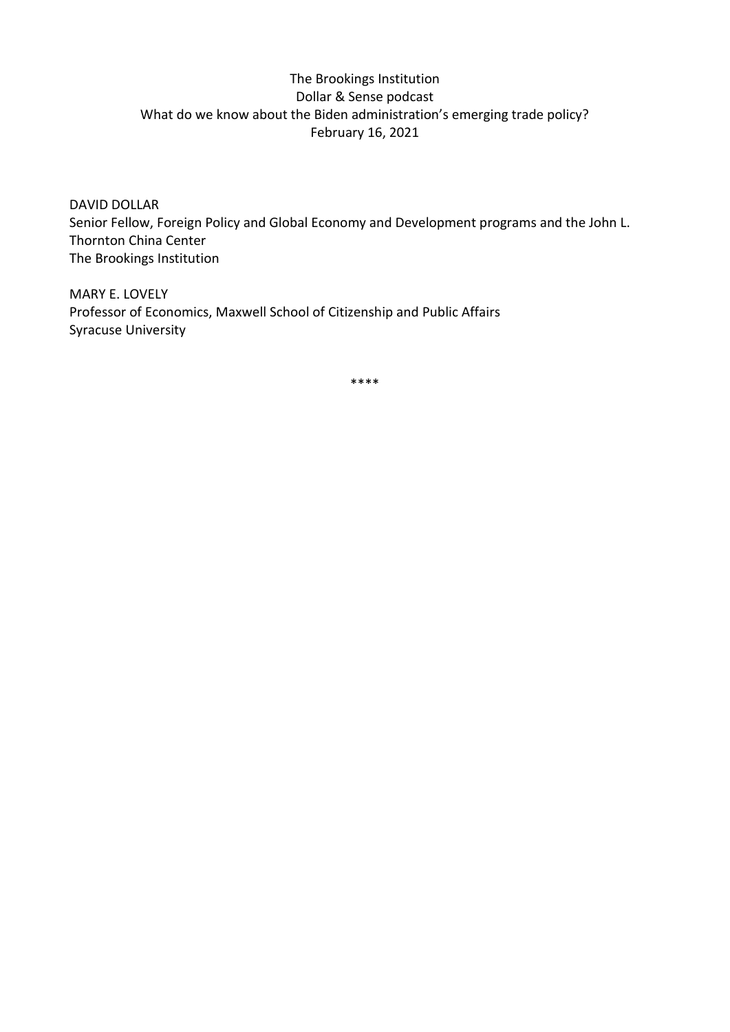## The Brookings Institution Dollar & Sense podcast What do we know about the Biden administration's emerging trade policy? February 16, 2021

DAVID DOLLAR Senior Fellow, Foreign Policy and Global Economy and Development programs and the John L. Thornton China Center The Brookings Institution

MARY E. LOVELY Professor of Economics, Maxwell School of Citizenship and Public Affairs Syracuse University

\*\*\*\*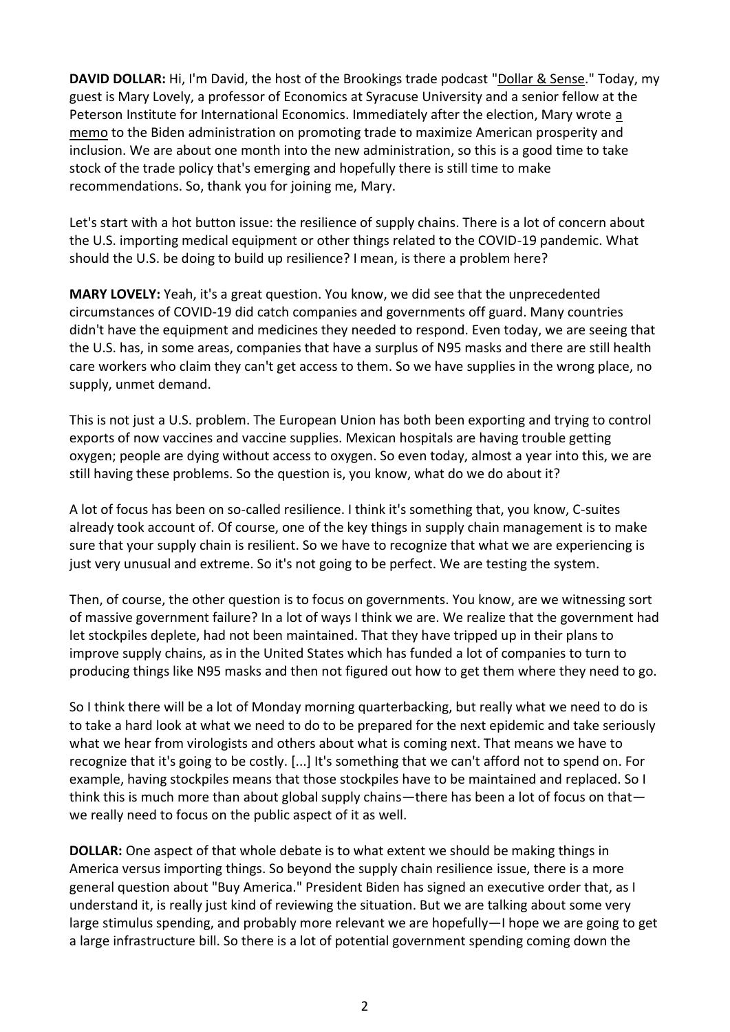**DAVID DOLLAR:** Hi, I'm David, the host of the Brookings trade podcast ["Dollar & Sense.](http://www.brookings.edu/dollarandsense)" Today, my guest is Mary Lovely, a professor of Economics at Syracuse University and a senior fellow at the Peterson Institute for International Economics. Immediately after the election, Mary wrote [a](https://www.piie.com/blogs/realtime-economic-issues-watch/memo-biden-administration-promoting-trade-maximize-american)  [memo](https://www.piie.com/blogs/realtime-economic-issues-watch/memo-biden-administration-promoting-trade-maximize-american) to the Biden administration on promoting trade to maximize American prosperity and inclusion. We are about one month into the new administration, so this is a good time to take stock of the trade policy that's emerging and hopefully there is still time to make recommendations. So, thank you for joining me, Mary.

Let's start with a hot button issue: the resilience of supply chains. There is a lot of concern about the U.S. importing medical equipment or other things related to the COVID-19 pandemic. What should the U.S. be doing to build up resilience? I mean, is there a problem here?

**MARY LOVELY:** Yeah, it's a great question. You know, we did see that the unprecedented circumstances of COVID-19 did catch companies and governments off guard. Many countries didn't have the equipment and medicines they needed to respond. Even today, we are seeing that the U.S. has, in some areas, companies that have a surplus of N95 masks and there are still health care workers who claim they can't get access to them. So we have supplies in the wrong place, no supply, unmet demand.

This is not just a U.S. problem. The European Union has both been exporting and trying to control exports of now vaccines and vaccine supplies. Mexican hospitals are having trouble getting oxygen; people are dying without access to oxygen. So even today, almost a year into this, we are still having these problems. So the question is, you know, what do we do about it?

A lot of focus has been on so-called resilience. I think it's something that, you know, C-suites already took account of. Of course, one of the key things in supply chain management is to make sure that your supply chain is resilient. So we have to recognize that what we are experiencing is just very unusual and extreme. So it's not going to be perfect. We are testing the system.

Then, of course, the other question is to focus on governments. You know, are we witnessing sort of massive government failure? In a lot of ways I think we are. We realize that the government had let stockpiles deplete, had not been maintained. That they have tripped up in their plans to improve supply chains, as in the United States which has funded a lot of companies to turn to producing things like N95 masks and then not figured out how to get them where they need to go.

So I think there will be a lot of Monday morning quarterbacking, but really what we need to do is to take a hard look at what we need to do to be prepared for the next epidemic and take seriously what we hear from virologists and others about what is coming next. That means we have to recognize that it's going to be costly. [...] It's something that we can't afford not to spend on. For example, having stockpiles means that those stockpiles have to be maintained and replaced. So I think this is much more than about global supply chains—there has been a lot of focus on that we really need to focus on the public aspect of it as well.

**DOLLAR:** One aspect of that whole debate is to what extent we should be making things in America versus importing things. So beyond the supply chain resilience issue, there is a more general question about "Buy America." President Biden has signed an executive order that, as I understand it, is really just kind of reviewing the situation. But we are talking about some very large stimulus spending, and probably more relevant we are hopefully—I hope we are going to get a large infrastructure bill. So there is a lot of potential government spending coming down the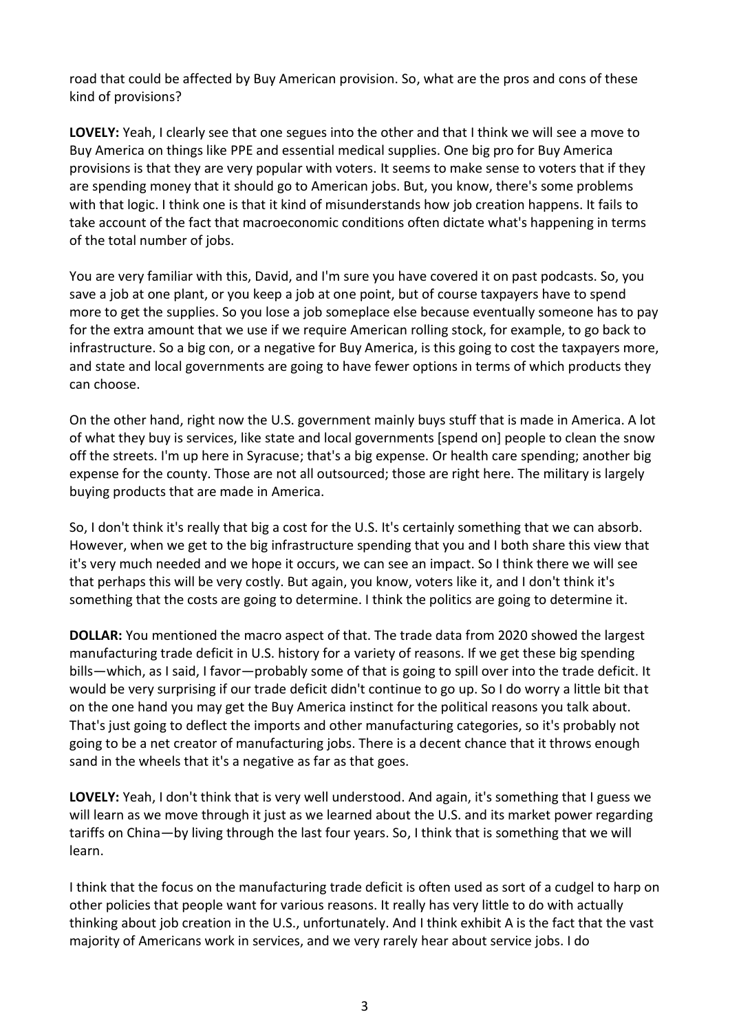road that could be affected by Buy American provision. So, what are the pros and cons of these kind of provisions?

**LOVELY:** Yeah, I clearly see that one segues into the other and that I think we will see a move to Buy America on things like PPE and essential medical supplies. One big pro for Buy America provisions is that they are very popular with voters. It seems to make sense to voters that if they are spending money that it should go to American jobs. But, you know, there's some problems with that logic. I think one is that it kind of misunderstands how job creation happens. It fails to take account of the fact that macroeconomic conditions often dictate what's happening in terms of the total number of jobs.

You are very familiar with this, David, and I'm sure you have covered it on past podcasts. So, you save a job at one plant, or you keep a job at one point, but of course taxpayers have to spend more to get the supplies. So you lose a job someplace else because eventually someone has to pay for the extra amount that we use if we require American rolling stock, for example, to go back to infrastructure. So a big con, or a negative for Buy America, is this going to cost the taxpayers more, and state and local governments are going to have fewer options in terms of which products they can choose.

On the other hand, right now the U.S. government mainly buys stuff that is made in America. A lot of what they buy is services, like state and local governments [spend on] people to clean the snow off the streets. I'm up here in Syracuse; that's a big expense. Or health care spending; another big expense for the county. Those are not all outsourced; those are right here. The military is largely buying products that are made in America.

So, I don't think it's really that big a cost for the U.S. It's certainly something that we can absorb. However, when we get to the big infrastructure spending that you and I both share this view that it's very much needed and we hope it occurs, we can see an impact. So I think there we will see that perhaps this will be very costly. But again, you know, voters like it, and I don't think it's something that the costs are going to determine. I think the politics are going to determine it.

**DOLLAR:** You mentioned the macro aspect of that. The trade data from 2020 showed the largest manufacturing trade deficit in U.S. history for a variety of reasons. If we get these big spending bills—which, as I said, I favor—probably some of that is going to spill over into the trade deficit. It would be very surprising if our trade deficit didn't continue to go up. So I do worry a little bit that on the one hand you may get the Buy America instinct for the political reasons you talk about. That's just going to deflect the imports and other manufacturing categories, so it's probably not going to be a net creator of manufacturing jobs. There is a decent chance that it throws enough sand in the wheels that it's a negative as far as that goes.

**LOVELY:** Yeah, I don't think that is very well understood. And again, it's something that I guess we will learn as we move through it just as we learned about the U.S. and its market power regarding tariffs on China—by living through the last four years. So, I think that is something that we will learn.

I think that the focus on the manufacturing trade deficit is often used as sort of a cudgel to harp on other policies that people want for various reasons. It really has very little to do with actually thinking about job creation in the U.S., unfortunately. And I think exhibit A is the fact that the vast majority of Americans work in services, and we very rarely hear about service jobs. I do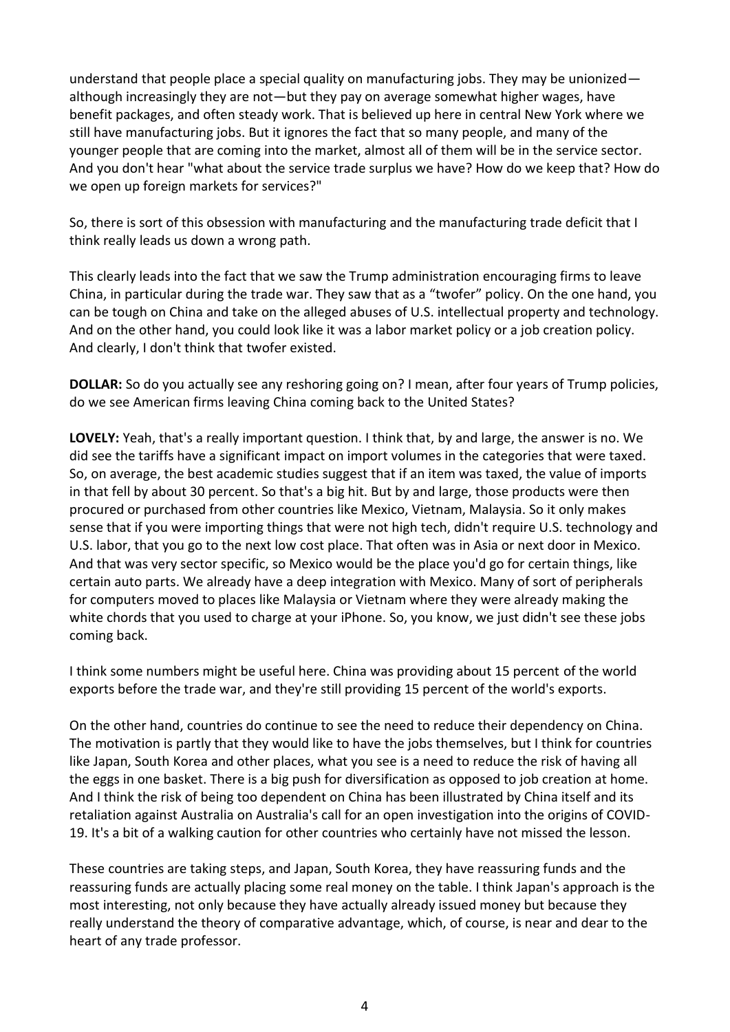understand that people place a special quality on manufacturing jobs. They may be unionized although increasingly they are not—but they pay on average somewhat higher wages, have benefit packages, and often steady work. That is believed up here in central New York where we still have manufacturing jobs. But it ignores the fact that so many people, and many of the younger people that are coming into the market, almost all of them will be in the service sector. And you don't hear "what about the service trade surplus we have? How do we keep that? How do we open up foreign markets for services?"

So, there is sort of this obsession with manufacturing and the manufacturing trade deficit that I think really leads us down a wrong path.

This clearly leads into the fact that we saw the Trump administration encouraging firms to leave China, in particular during the trade war. They saw that as a "twofer" policy. On the one hand, you can be tough on China and take on the alleged abuses of U.S. intellectual property and technology. And on the other hand, you could look like it was a labor market policy or a job creation policy. And clearly, I don't think that twofer existed.

**DOLLAR:** So do you actually see any reshoring going on? I mean, after four years of Trump policies, do we see American firms leaving China coming back to the United States?

**LOVELY:** Yeah, that's a really important question. I think that, by and large, the answer is no. We did see the tariffs have a significant impact on import volumes in the categories that were taxed. So, on average, the best academic studies suggest that if an item was taxed, the value of imports in that fell by about 30 percent. So that's a big hit. But by and large, those products were then procured or purchased from other countries like Mexico, Vietnam, Malaysia. So it only makes sense that if you were importing things that were not high tech, didn't require U.S. technology and U.S. labor, that you go to the next low cost place. That often was in Asia or next door in Mexico. And that was very sector specific, so Mexico would be the place you'd go for certain things, like certain auto parts. We already have a deep integration with Mexico. Many of sort of peripherals for computers moved to places like Malaysia or Vietnam where they were already making the white chords that you used to charge at your iPhone. So, you know, we just didn't see these jobs coming back.

I think some numbers might be useful here. China was providing about 15 percent of the world exports before the trade war, and they're still providing 15 percent of the world's exports.

On the other hand, countries do continue to see the need to reduce their dependency on China. The motivation is partly that they would like to have the jobs themselves, but I think for countries like Japan, South Korea and other places, what you see is a need to reduce the risk of having all the eggs in one basket. There is a big push for diversification as opposed to job creation at home. And I think the risk of being too dependent on China has been illustrated by China itself and its retaliation against Australia on Australia's call for an open investigation into the origins of COVID-19. It's a bit of a walking caution for other countries who certainly have not missed the lesson.

These countries are taking steps, and Japan, South Korea, they have reassuring funds and the reassuring funds are actually placing some real money on the table. I think Japan's approach is the most interesting, not only because they have actually already issued money but because they really understand the theory of comparative advantage, which, of course, is near and dear to the heart of any trade professor.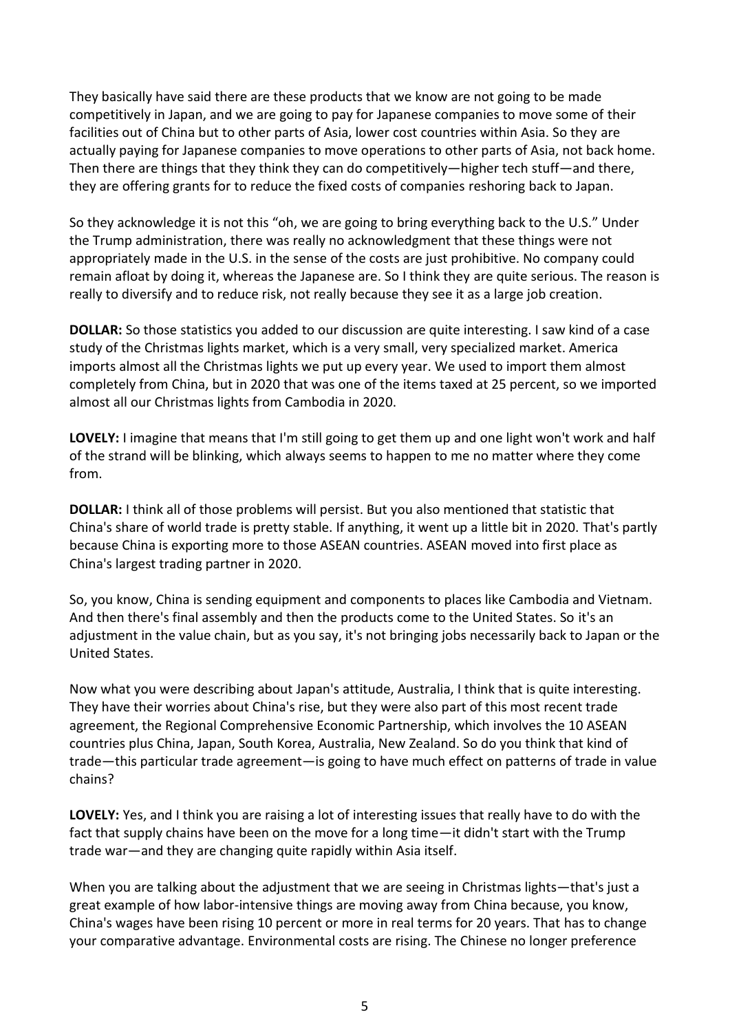They basically have said there are these products that we know are not going to be made competitively in Japan, and we are going to pay for Japanese companies to move some of their facilities out of China but to other parts of Asia, lower cost countries within Asia. So they are actually paying for Japanese companies to move operations to other parts of Asia, not back home. Then there are things that they think they can do competitively—higher tech stuff—and there, they are offering grants for to reduce the fixed costs of companies reshoring back to Japan.

So they acknowledge it is not this "oh, we are going to bring everything back to the U.S." Under the Trump administration, there was really no acknowledgment that these things were not appropriately made in the U.S. in the sense of the costs are just prohibitive. No company could remain afloat by doing it, whereas the Japanese are. So I think they are quite serious. The reason is really to diversify and to reduce risk, not really because they see it as a large job creation.

**DOLLAR:** So those statistics you added to our discussion are quite interesting. I saw kind of a case study of the Christmas lights market, which is a very small, very specialized market. America imports almost all the Christmas lights we put up every year. We used to import them almost completely from China, but in 2020 that was one of the items taxed at 25 percent, so we imported almost all our Christmas lights from Cambodia in 2020.

**LOVELY:** I imagine that means that I'm still going to get them up and one light won't work and half of the strand will be blinking, which always seems to happen to me no matter where they come from.

**DOLLAR:** I think all of those problems will persist. But you also mentioned that statistic that China's share of world trade is pretty stable. If anything, it went up a little bit in 2020. That's partly because China is exporting more to those ASEAN countries. ASEAN moved into first place as China's largest trading partner in 2020.

So, you know, China is sending equipment and components to places like Cambodia and Vietnam. And then there's final assembly and then the products come to the United States. So it's an adjustment in the value chain, but as you say, it's not bringing jobs necessarily back to Japan or the United States.

Now what you were describing about Japan's attitude, Australia, I think that is quite interesting. They have their worries about China's rise, but they were also part of this most recent trade agreement, the Regional Comprehensive Economic Partnership, which involves the 10 ASEAN countries plus China, Japan, South Korea, Australia, New Zealand. So do you think that kind of trade—this particular trade agreement—is going to have much effect on patterns of trade in value chains?

**LOVELY:** Yes, and I think you are raising a lot of interesting issues that really have to do with the fact that supply chains have been on the move for a long time—it didn't start with the Trump trade war—and they are changing quite rapidly within Asia itself.

When you are talking about the adjustment that we are seeing in Christmas lights—that's just a great example of how labor-intensive things are moving away from China because, you know, China's wages have been rising 10 percent or more in real terms for 20 years. That has to change your comparative advantage. Environmental costs are rising. The Chinese no longer preference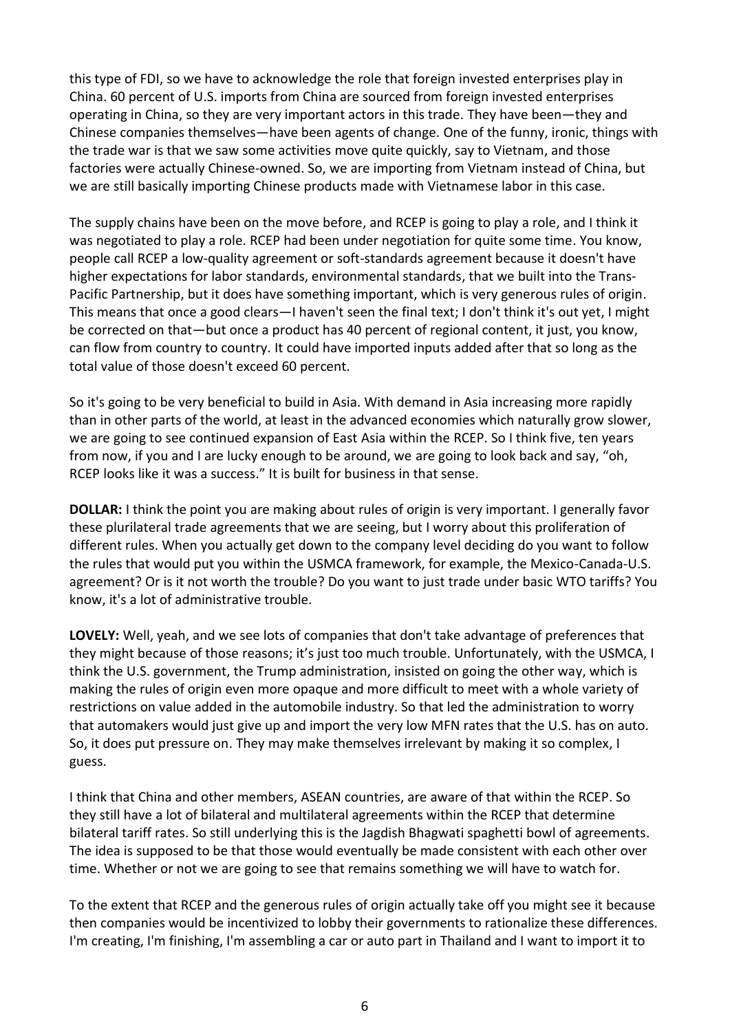this type of FDI, so we have to acknowledge the role that foreign invested enterprises play in China. 60 percent of U.S. imports from China are sourced from foreign invested enterprises operating in China, so they are very important actors in this trade. They have been—they and Chinese companies themselves—have been agents of change. One of the funny, ironic, things with the trade war is that we saw some activities move quite quickly, say to Vietnam, and those factories were actually Chinese-owned. So, we are importing from Vietnam instead of China, but we are still basically importing Chinese products made with Vietnamese labor in this case.

The supply chains have been on the move before, and RCEP is going to play a role, and I think it was negotiated to play a role. RCEP had been under negotiation for quite some time. You know, people call RCEP a low-quality agreement or soft-standards agreement because it doesn't have higher expectations for labor standards, environmental standards, that we built into the Trans-Pacific Partnership, but it does have something important, which is very generous rules of origin. This means that once a good clears—I haven't seen the final text; I don't think it's out yet, I might be corrected on that—but once a product has 40 percent of regional content, it just, you know, can flow from country to country. It could have imported inputs added after that so long as the total value of those doesn't exceed 60 percent.

So it's going to be very beneficial to build in Asia. With demand in Asia increasing more rapidly than in other parts of the world, at least in the advanced economies which naturally grow slower, we are going to see continued expansion of East Asia within the RCEP. So I think five, ten years from now, if you and I are lucky enough to be around, we are going to look back and say, "oh, RCEP looks like it was a success." It is built for business in that sense.

**DOLLAR:** I think the point you are making about rules of origin is very important. I generally favor these plurilateral trade agreements that we are seeing, but I worry about this proliferation of different rules. When you actually get down to the company level deciding do you want to follow the rules that would put you within the USMCA framework, for example, the Mexico-Canada-U.S. agreement? Or is it not worth the trouble? Do you want to just trade under basic WTO tariffs? You know, it's a lot of administrative trouble.

**LOVELY:** Well, yeah, and we see lots of companies that don't take advantage of preferences that they might because of those reasons; it's just too much trouble. Unfortunately, with the USMCA, I think the U.S. government, the Trump administration, insisted on going the other way, which is making the rules of origin even more opaque and more difficult to meet with a whole variety of restrictions on value added in the automobile industry. So that led the administration to worry that automakers would just give up and import the very low MFN rates that the U.S. has on auto. So, it does put pressure on. They may make themselves irrelevant by making it so complex, I guess.

I think that China and other members, ASEAN countries, are aware of that within the RCEP. So they still have a lot of bilateral and multilateral agreements within the RCEP that determine bilateral tariff rates. So still underlying this is the Jagdish Bhagwati spaghetti bowl of agreements. The idea is supposed to be that those would eventually be made consistent with each other over time. Whether or not we are going to see that remains something we will have to watch for.

To the extent that RCEP and the generous rules of origin actually take off you might see it because then companies would be incentivized to lobby their governments to rationalize these differences. I'm creating, I'm finishing, I'm assembling a car or auto part in Thailand and I want to import it to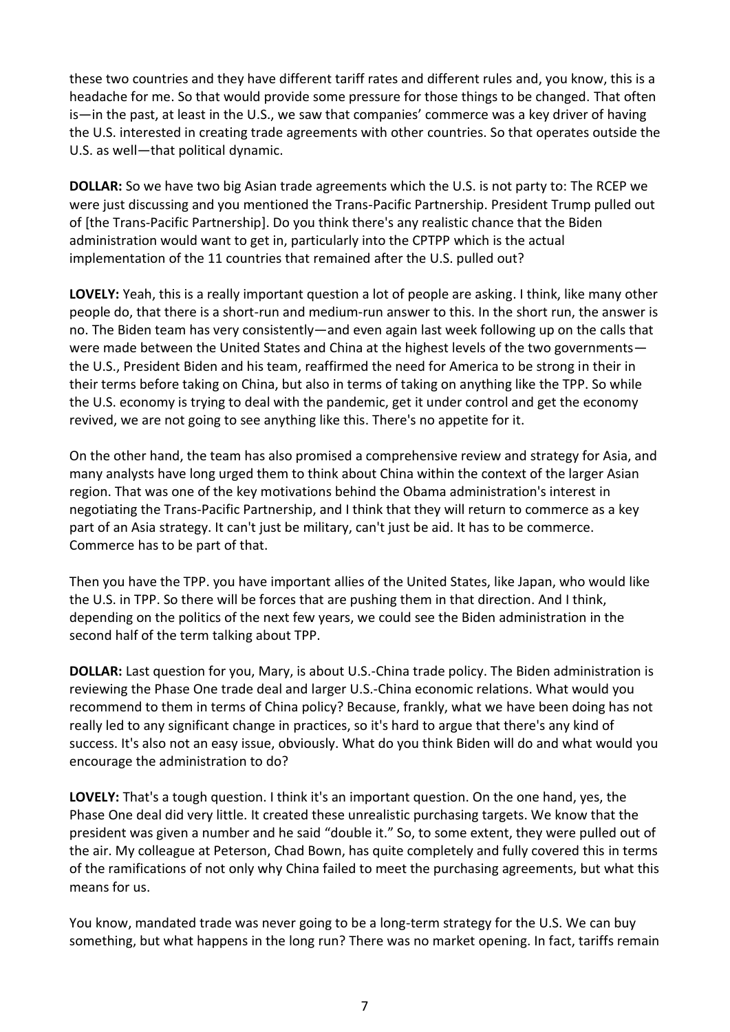these two countries and they have different tariff rates and different rules and, you know, this is a headache for me. So that would provide some pressure for those things to be changed. That often is—in the past, at least in the U.S., we saw that companies' commerce was a key driver of having the U.S. interested in creating trade agreements with other countries. So that operates outside the U.S. as well—that political dynamic.

**DOLLAR:** So we have two big Asian trade agreements which the U.S. is not party to: The RCEP we were just discussing and you mentioned the Trans-Pacific Partnership. President Trump pulled out of [the Trans-Pacific Partnership]. Do you think there's any realistic chance that the Biden administration would want to get in, particularly into the CPTPP which is the actual implementation of the 11 countries that remained after the U.S. pulled out?

**LOVELY:** Yeah, this is a really important question a lot of people are asking. I think, like many other people do, that there is a short-run and medium-run answer to this. In the short run, the answer is no. The Biden team has very consistently—and even again last week following up on the calls that were made between the United States and China at the highest levels of the two governments the U.S., President Biden and his team, reaffirmed the need for America to be strong in their in their terms before taking on China, but also in terms of taking on anything like the TPP. So while the U.S. economy is trying to deal with the pandemic, get it under control and get the economy revived, we are not going to see anything like this. There's no appetite for it.

On the other hand, the team has also promised a comprehensive review and strategy for Asia, and many analysts have long urged them to think about China within the context of the larger Asian region. That was one of the key motivations behind the Obama administration's interest in negotiating the Trans-Pacific Partnership, and I think that they will return to commerce as a key part of an Asia strategy. It can't just be military, can't just be aid. It has to be commerce. Commerce has to be part of that.

Then you have the TPP. you have important allies of the United States, like Japan, who would like the U.S. in TPP. So there will be forces that are pushing them in that direction. And I think, depending on the politics of the next few years, we could see the Biden administration in the second half of the term talking about TPP.

**DOLLAR:** Last question for you, Mary, is about U.S.-China trade policy. The Biden administration is reviewing the Phase One trade deal and larger U.S.-China economic relations. What would you recommend to them in terms of China policy? Because, frankly, what we have been doing has not really led to any significant change in practices, so it's hard to argue that there's any kind of success. It's also not an easy issue, obviously. What do you think Biden will do and what would you encourage the administration to do?

**LOVELY:** That's a tough question. I think it's an important question. On the one hand, yes, the Phase One deal did very little. It created these unrealistic purchasing targets. We know that the president was given a number and he said "double it." So, to some extent, they were pulled out of the air. My colleague at Peterson, Chad Bown, has quite completely and fully covered this in terms of the ramifications of not only why China failed to meet the purchasing agreements, but what this means for us.

You know, mandated trade was never going to be a long-term strategy for the U.S. We can buy something, but what happens in the long run? There was no market opening. In fact, tariffs remain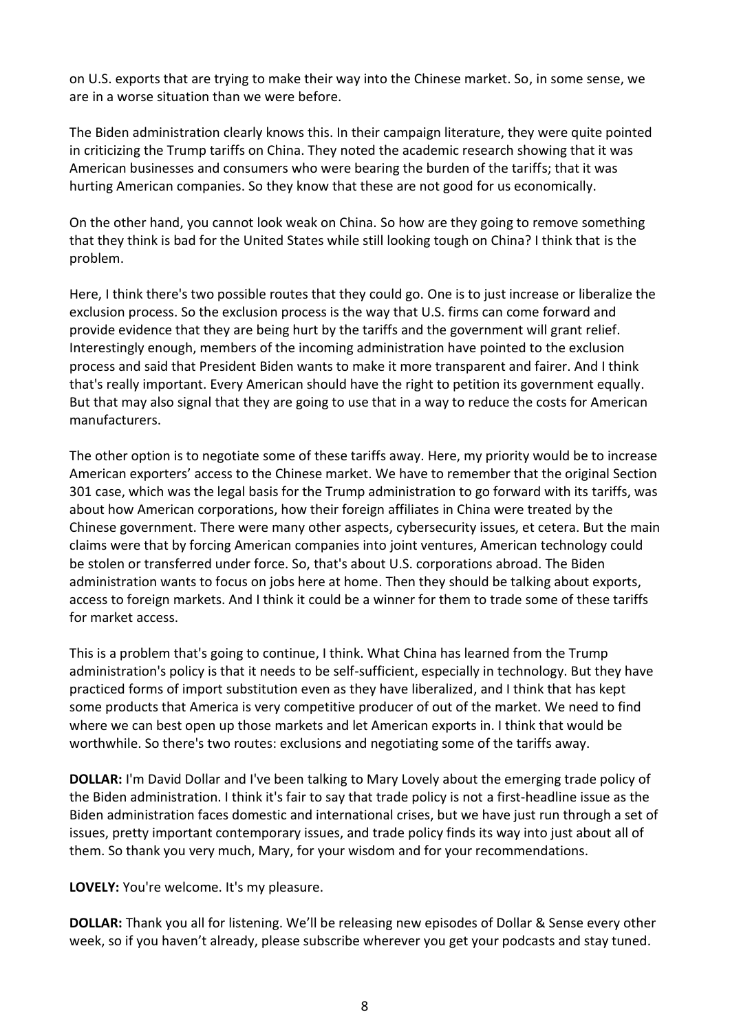on U.S. exports that are trying to make their way into the Chinese market. So, in some sense, we are in a worse situation than we were before.

The Biden administration clearly knows this. In their campaign literature, they were quite pointed in criticizing the Trump tariffs on China. They noted the academic research showing that it was American businesses and consumers who were bearing the burden of the tariffs; that it was hurting American companies. So they know that these are not good for us economically.

On the other hand, you cannot look weak on China. So how are they going to remove something that they think is bad for the United States while still looking tough on China? I think that is the problem.

Here, I think there's two possible routes that they could go. One is to just increase or liberalize the exclusion process. So the exclusion process is the way that U.S. firms can come forward and provide evidence that they are being hurt by the tariffs and the government will grant relief. Interestingly enough, members of the incoming administration have pointed to the exclusion process and said that President Biden wants to make it more transparent and fairer. And I think that's really important. Every American should have the right to petition its government equally. But that may also signal that they are going to use that in a way to reduce the costs for American manufacturers.

The other option is to negotiate some of these tariffs away. Here, my priority would be to increase American exporters' access to the Chinese market. We have to remember that the original Section 301 case, which was the legal basis for the Trump administration to go forward with its tariffs, was about how American corporations, how their foreign affiliates in China were treated by the Chinese government. There were many other aspects, cybersecurity issues, et cetera. But the main claims were that by forcing American companies into joint ventures, American technology could be stolen or transferred under force. So, that's about U.S. corporations abroad. The Biden administration wants to focus on jobs here at home. Then they should be talking about exports, access to foreign markets. And I think it could be a winner for them to trade some of these tariffs for market access.

This is a problem that's going to continue, I think. What China has learned from the Trump administration's policy is that it needs to be self-sufficient, especially in technology. But they have practiced forms of import substitution even as they have liberalized, and I think that has kept some products that America is very competitive producer of out of the market. We need to find where we can best open up those markets and let American exports in. I think that would be worthwhile. So there's two routes: exclusions and negotiating some of the tariffs away.

**DOLLAR:** I'm David Dollar and I've been talking to Mary Lovely about the emerging trade policy of the Biden administration. I think it's fair to say that trade policy is not a first-headline issue as the Biden administration faces domestic and international crises, but we have just run through a set of issues, pretty important contemporary issues, and trade policy finds its way into just about all of them. So thank you very much, Mary, for your wisdom and for your recommendations.

**LOVELY:** You're welcome. It's my pleasure.

**DOLLAR:** Thank you all for listening. We'll be releasing new episodes of Dollar & Sense every other week, so if you haven't already, please subscribe wherever you get your podcasts and stay tuned.